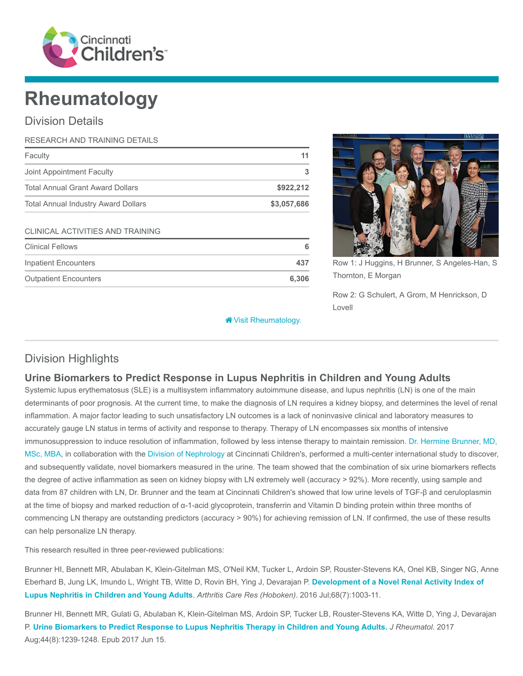

# Rheumatology

# Division Details

| RESEARCH AND TRAINING DETAILS              |             |
|--------------------------------------------|-------------|
| Faculty                                    | 11          |
| Joint Appointment Faculty                  | 3           |
| <b>Total Annual Grant Award Dollars</b>    | \$922,212   |
| <b>Total Annual Industry Award Dollars</b> | \$3,057,686 |
| CLINICAL ACTIVITIES AND TRAINING           |             |
| <b>Clinical Fellows</b>                    | 6           |
| <b>Inpatient Encounters</b>                | 437         |
| <b>Outpatient Encounters</b>               | 6,306       |



Row 1: J Huggins, H Brunner, S Angeles-Han, S Thornton, E Morgan

Row 2: G Schulert, A Grom, M Henrickson, D Lovell

**\*** [Visit Rheumatology.](https://www.cincinnatichildrens.org/research/divisions/r/rheumatology)

# Division Highlights

# Urine Biomarkers to Predict Response in Lupus Nephritis in Children and Young Adults

Systemic lupus erythematosus (SLE) is a multisystem inflammatory autoimmune disease, and lupus nephritis (LN) is one of the main determinants of poor prognosis. At the current time, to make the diagnosis of LN requires a kidney biopsy, and determines the level of renal inflammation. A major factor leading to such unsatisfactory LN outcomes is a lack of noninvasive clinical and laboratory measures to accurately gauge LN status in terms of activity and response to therapy. Therapy of LN encompasses six months of intensive immunosuppression to induce resolution of inflammation, followed by less intense therapy to maintain remission. Dr. Hermine Brunner, MD, [MSc, MBA, in collaboration with the Division of Nephrology at Cincinnati Children's, performed a multi-center international study to discover,](https://www.cincinnatichildrens.org/bio/b/hermine-brunner) and subsequently validate, novel biomarkers measured in the urine. The team showed that the combination of six urine biomarkers reflects the degree of active inflammation as seen on kidney biopsy with LN extremely well (accuracy > 92%). More recently, using sample and data from 87 children with LN, Dr. Brunner and the team at Cincinnati Children's showed that low urine levels of TGF-β and ceruloplasmin at the time of biopsy and marked reduction of α-1-acid glycoprotein, transferrin and Vitamin D binding protein within three months of commencing LN therapy are outstanding predictors (accuracy > 90%) for achieving remission of LN. If confirmed, the use of these results can help personalize LN therapy.

This research resulted in three peer-reviewed publications:

Brunner HI, Bennett MR, Abulaban K, Klein-Gitelman MS, O'Neil KM, Tucker L, Ardoin SP, Rouster-Stevens KA, Onel KB, Singer NG, Anne [Eberhard B, Jung LK, Imundo L, Wright TB, Witte D, Rovin BH, Ying J, Devarajan P.](https://www.ncbi.nlm.nih.gov/pubmed/26473509) Development of a Novel Renal Activity Index of Lupus Nephritis in Children and Young Adults. Arthritis Care Res (Hoboken). 2016 Jul;68(7):1003-11.

Brunner HI, Bennett MR, Gulati G, Abulaban K, Klein-Gitelman MS, Ardoin SP, Tucker LB, Rouster-Stevens KA, Witte D, Ying J, Devarajan P. [Urine Biomarkers to Predict Response to Lupus Nephritis Therapy in Children and Young Adults.](https://www.ncbi.nlm.nih.gov/pubmed/28620062) J Rheumatol. 2017 Aug;44(8):1239-1248. Epub 2017 Jun 15.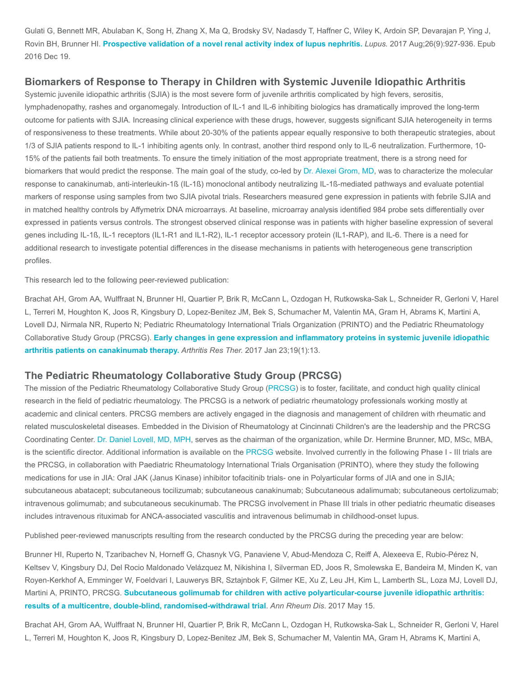Gulati G, Bennett MR, Abulaban K, Song H, Zhang X, Ma Q, Brodsky SV, Nadasdy T, Haffner C, Wiley K, Ardoin SP, Devarajan P, Ying J, Rovin BH, Brunner HI. [Prospective validation of a novel renal activity index of lupus nephritis.](https://www.ncbi.nlm.nih.gov/pubmed/28361601) Lupus. 2017 Aug;26(9):927-936. Epub 2016 Dec 19.

## Biomarkers of Response to Therapy in Children with Systemic Juvenile Idiopathic Arthritis

Systemic juvenile idiopathic arthritis (SJIA) is the most severe form of juvenile arthritis complicated by high fevers, serositis, lymphadenopathy, rashes and organomegaly. Introduction of IL-1 and IL-6 inhibiting biologics has dramatically improved the long-term outcome for patients with SJIA. Increasing clinical experience with these drugs, however, suggests significant SJIA heterogeneity in terms of responsiveness to these treatments. While about 20-30% of the patients appear equally responsive to both therapeutic strategies, about 1/3 of SJIA patients respond to IL-1 inhibiting agents only. In contrast, another third respond only to IL-6 neutralization. Furthermore, 10- 15% of the patients fail both treatments. To ensure the timely initiation of the most appropriate treatment, there is a strong need for biomarkers that would predict the response. The main goal of the study, co-led by [Dr. Alexei Grom, MD](https://www.cincinnatichildrens.org/bio/g/alexei-grom), was to characterize the molecular response to canakinumab, anti-interleukin-1ß (IL-1ß) monoclonal antibody neutralizing IL-1ß-mediated pathways and evaluate potential markers of response using samples from two SJIA pivotal trials. Researchers measured gene expression in patients with febrile SJIA and in matched healthy controls by Affymetrix DNA microarrays. At baseline, microarray analysis identified 984 probe sets differentially over expressed in patients versus controls. The strongest observed clinical response was in patients with higher baseline expression of several genes including IL-1ß, IL-1 receptors (IL1-R1 and IL1-R2), IL-1 receptor accessory protein (IL1-RAP), and IL-6. There is a need for additional research to investigate potential differences in the disease mechanisms in patients with heterogeneous gene transcription profiles.

This research led to the following peer-reviewed publication:

Brachat AH, Grom AA, Wulffraat N, Brunner HI, Quartier P, Brik R, McCann L, Ozdogan H, Rutkowska-Sak L, Schneider R, Gerloni V, Harel L, Terreri M, Houghton K, Joos R, Kingsbury D, Lopez-Benitez JM, Bek S, Schumacher M, Valentin MA, Gram H, Abrams K, Martini A, Lovell DJ, Nirmala NR, Ruperto N; Pediatric Rheumatology International Trials Organization (PRINTO) and the Pediatric Rheumatology Collaborative Study Group (PRCSG). [Early changes in gene expression and inflammatory proteins in systemic juvenile idiopathic](https://www.ncbi.nlm.nih.gov/pubmed/28115015) arthritis patients on canakinumab therapy. Arthritis Res Ther. 2017 Jan 23;19(1):13.

## The Pediatric Rheumatology Collaborative Study Group (PRCSG)

The mission of the Pediatric Rheumatology Collaborative Study Group ([PRCSG](https://www.cincinnatichildrens.org/research/divisions/r/rheumatology/rheumatology-collaborative-study)) is to foster, facilitate, and conduct high quality clinical research in the field of pediatric rheumatology. The PRCSG is a network of pediatric rheumatology professionals working mostly at academic and clinical centers. PRCSG members are actively engaged in the diagnosis and management of children with rheumatic and related musculoskeletal diseases. Embedded in the Division of Rheumatology at Cincinnati Children's are the leadership and the PRCSG Coordinating Center. [Dr. Daniel Lovell, MD, MPH](https://www.cincinnatichildrens.org/bio/l/daniel-lovell), serves as the chairman of the organization, while Dr. Hermine Brunner, MD, MSc, MBA, is the scientific director. Additional information is available on the [PRCSG](http://auth.sc.cincinnatichildrens.org/www.prcsg.org) website. Involved currently in the following Phase I - III trials are the PRCSG, in collaboration with Paediatric Rheumatology International Trials Organisation (PRINTO), where they study the following medications for use in JIA: Oral JAK (Janus Kinase) inhibitor tofacitinib trials- one in Polyarticular forms of JIA and one in SJIA; subcutaneous abatacept; subcutaneous tocilizumab; subcutaneous canakinumab; Subcutaneous adalimumab; subcutaneous certolizumab; intravenous golimumab; and subcutaneous secukinumab. The PRCSG involvement in Phase III trials in other pediatric rheumatic diseases includes intravenous rituximab for ANCA-associated vasculitis and intravenous belimumab in childhood-onset lupus.

Published peer-reviewed manuscripts resulting from the research conducted by the PRCSG during the preceding year are below:

Brunner HI, Ruperto N, Tzaribachev N, Horneff G, Chasnyk VG, Panaviene V, Abud-Mendoza C, Reiff A, Alexeeva E, Rubio-Pérez N, Keltsev V, Kingsbury DJ, Del Rocio Maldonado Velázquez M, Nikishina I, Silverman ED, Joos R, Smolewska E, Bandeira M, Minden K, van Royen-Kerkhof A, Emminger W, Foeldvari I, Lauwerys BR, Sztajnbok F, Gilmer KE, Xu Z, Leu JH, Kim L, Lamberth SL, Loza MJ, Lovell DJ, Martini A, PRINTO, PRCSG. [Subcutaneous golimumab for children with active polyarticular-course juvenile idiopathic arthritis:](https://www.ncbi.nlm.nih.gov/pubmed/28507219) results of a multicentre, double-blind, randomised-withdrawal trial. Ann Rheum Dis. 2017 May 15.

Brachat AH, Grom AA, Wulffraat N, Brunner HI, Quartier P, Brik R, McCann L, Ozdogan H, Rutkowska-Sak L, Schneider R, Gerloni V, Harel L, Terreri M, Houghton K, Joos R, Kingsbury D, Lopez-Benitez JM, Bek S, Schumacher M, Valentin MA, Gram H, Abrams K, Martini A,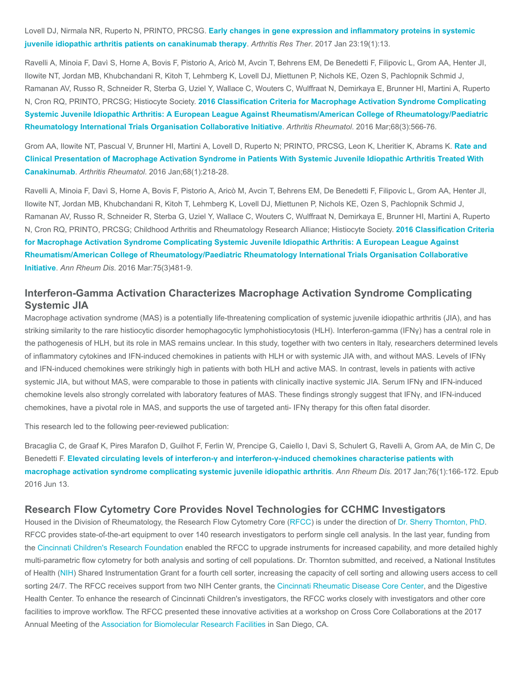Lovell DJ, Nirmala NR, Ruperto N, PRINTO, PRCSG. [Early changes in gene expression and inflammatory proteins in systemic](https://www.ncbi.nlm.nih.gov/pubmed/28115015) juvenile idiopathic arthritis patients on canakinumab therapy. Arthritis Res Ther. 2017 Jan 23:19(1):13.

Ravelli A, Minoia F, Davì S, Horne A, Bovis F, Pistorio A, Aricò M, Avcin T, Behrens EM, De Benedetti F, Filipovic L, Grom AA, Henter JI, Ilowite NT, Jordan MB, Khubchandani R, Kitoh T, Lehmberg K, Lovell DJ, Miettunen P, Nichols KE, Ozen S, Pachlopnik Schmid J, Ramanan AV, Russo R, Schneider R, Sterba G, Uziel Y, Wallace C, Wouters C, Wulffraat N, Demirkaya E, Brunner HI, Martini A, Ruperto N, Cron RQ, PRINTO, PRCSG; Histiocyte Society. 2016 Classification Criteria for Macrophage Activation Syndrome Complicating [Systemic Juvenile Idiopathic Arthritis: A European League Against Rheumatism/American College of Rheumatology/Paediatric](https://www.ncbi.nlm.nih.gov/pubmed/26314788) Rheumatology International Trials Organisation Collaborative Initiative. Arthritis Rheumatol. 2016 Mar;68(3):566-76.

Grom AA, Ilowite NT, Pascual V, Brunner HI, Martini A, Lovell D, Ruperto N; PRINTO, PRCSG, Leon K, Lheritier K, Abrams K. Rate and [Clinical Presentation of Macrophage Activation Syndrome in Patients With Systemic Juvenile Idiopathic Arthritis Treated With](https://www.ncbi.nlm.nih.gov/pubmed/26314396) Canakinumab. Arthritis Rheumatol. 2016 Jan;68(1):218-28.

Ravelli A, Minoia F, Davì S, Horne A, Bovis F, Pistorio A, Aricò M, Avcin T, Behrens EM, De Benedetti F, Filipovic L, Grom AA, Henter JI, Ilowite NT, Jordan MB, Khubchandani R, Kitoh T, Lehmberg K, Lovell DJ, Miettunen P, Nichols KE, Ozen S, Pachlopnik Schmid J, Ramanan AV, Russo R, Schneider R, Sterba G, Uziel Y, Wallace C, Wouters C, Wulffraat N, Demirkaya E, Brunner HI, Martini A, Ruperto N, Cron RQ, PRINTO, PRCSG; Childhood Arthritis and Rheumatology Research Alliance; Histiocyte Society. 2016 Classification Criteria for Macrophage Activation Syndrome Complicating Systemic Juvenile Idiopathic Arthritis: A European League Against [Rheumatism/American College of Rheumatology/Paediatric Rheumatology International Trials Organisation Collaborative](https://www.ncbi.nlm.nih.gov/pubmed/26865703) [Initiative](https://www.ncbi.nlm.nih.gov/pubmed/26865703). Ann Rheum Dis. 2016 Mar:75(3)481-9.

# Interferon-Gamma Activation Characterizes Macrophage Activation Syndrome Complicating Systemic JIA

Macrophage activation syndrome (MAS) is a potentially life-threatening complication of systemic juvenile idiopathic arthritis (JIA), and has striking similarity to the rare histiocytic disorder hemophagocytic lymphohistiocytosis (HLH). Interferon-gamma (IFNγ) has a central role in the pathogenesis of HLH, but its role in MAS remains unclear. In this study, together with two centers in Italy, researchers determined levels of inflammatory cytokines and IFN-induced chemokines in patients with HLH or with systemic JIA with, and without MAS. Levels of IFNγ and IFN-induced chemokines were strikingly high in patients with both HLH and active MAS. In contrast, levels in patients with active systemic JIA, but without MAS, were comparable to those in patients with clinically inactive systemic JIA. Serum IFNγ and IFN-induced chemokine levels also strongly correlated with laboratory features of MAS. These findings strongly suggest that IFNγ, and IFN-induced chemokines, have a pivotal role in MAS, and supports the use of targeted anti- IFNγ therapy for this often fatal disorder.

This research led to the following peer-reviewed publication:

Bracaglia C, de Graaf K, Pires Marafon D, Guilhot F, Ferlin W, Prencipe G, Caiello I, Davì S, Schulert G, Ravelli A, Grom AA, de Min C, De Benedetti F. [Elevated circulating levels of interferon-γ and interferon-γ-induced chemokines characterise patients with](https://www.ncbi.nlm.nih.gov/pubmed/27296321) macrophage activation syndrome complicating systemic juvenile idiopathic arthritis. Ann Rheum Dis. 2017 Jan;76(1):166-172. Epub 2016 Jun 13.

#### Research Flow Cytometry Core Provides Novel Technologies for CCHMC Investigators

Housed in the Division of Rheumatology, the Research Flow Cytometry Core ([RFCC](https://www.cincinnatichildrens.org/research/cores/flow-cytometry)) is under the direction of [Dr. Sherry Thornton, PhD.](https://www.cincinnatichildrens.org/bio/t/sherry-thornton) RFCC provides state-of-the-art equipment to over 140 research investigators to perform single cell analysis. In the last year, funding from the [Cincinnati Children's Research Foundation](https://www.cincinnatichildrens.org/research/cincinnati/ccrf) enabled the RFCC to upgrade instruments for increased capability, and more detailed highly multi-parametric flow cytometry for both analysis and sorting of cell populations. Dr. Thornton submitted, and received, a National Institutes of Health [\(NIH](https://www.nih.gov/)) Shared Instrumentation Grant for a fourth cell sorter, increasing the capacity of cell sorting and allowing users access to cell sorting 24/7. The RFCC receives support from two NIH Center grants, the [Cincinnati Rheumatic Disease Core Center](https://www.cincinnatichildrens.org/research/divisions/r/rheumatic-diseases), and the Digestive Health Center. To enhance the research of Cincinnati Children's investigators, the RFCC works closely with investigators and other core facilities to improve workflow. The RFCC presented these innovative activities at a workshop on Cross Core Collaborations at the 2017 Annual Meeting of the [Association for Biomolecular Research Facilities](https://abrf.org/) in San Diego, CA.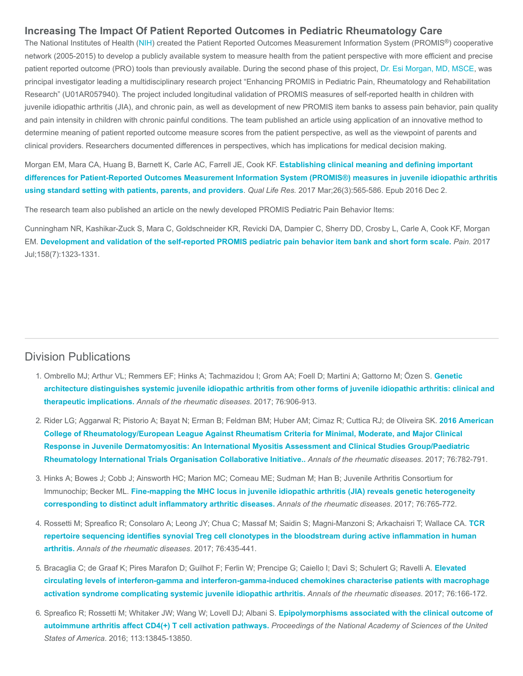## Increasing The Impact Of Patient Reported Outcomes in Pediatric Rheumatology Care

The National Institutes of Health [\(NIH](https://www.nih.gov/)) created the Patient Reported Outcomes Measurement Information System (PROMIS®) cooperative network (2005-2015) to develop a publicly available system to measure health from the patient perspective with more efficient and precise patient reported outcome (PRO) tools than previously available. During the second phase of this project, [Dr. Esi Morgan, MD, MSCE,](https://www.cincinnatichildrens.org/bio/m/esi-morgan) was principal investigator leading a multidisciplinary research project "Enhancing PROMIS in Pediatric Pain, Rheumatology and Rehabilitation Research" (U01AR057940). The project included longitudinal validation of PROMIS measures of self-reported health in children with juvenile idiopathic arthritis (JIA), and chronic pain, as well as development of new PROMIS item banks to assess pain behavior, pain quality and pain intensity in children with chronic painful conditions. The team published an article using application of an innovative method to determine meaning of patient reported outcome measure scores from the patient perspective, as well as the viewpoint of parents and clinical providers. Researchers documented differences in perspectives, which has implications for medical decision making.

Morgan EM, Mara CA, Huang B, Barnett K, Carle AC, Farrell JE, Cook KF. Establishing clinical meaning and defining important [differences for Patient-Reported Outcomes Measurement Information System \(PROMIS®\) measures in juvenile idiopathic arthritis](https://www.ncbi.nlm.nih.gov/pubmed/27913986) using standard setting with patients, parents, and providers. Qual Life Res. 2017 Mar;26(3):565-586. Epub 2016 Dec 2.

The research team also published an article on the newly developed PROMIS Pediatric Pain Behavior Items:

Cunningham NR, Kashikar-Zuck S, Mara C, Goldschneider KR, Revicki DA, Dampier C, Sherry DD, Crosby L, Carle A, Cook KF, Morgan EM. [Development and validation of the self-reported PROMIS pediatric pain behavior item bank and short form scale.](https://www.ncbi.nlm.nih.gov/pubmed/28394851) Pain. 2017 Jul;158(7):1323-1331.

## Division Publications

- 1. Ombrello MJ; Arthur VL; Remmers EF; Hinks A; Tachmazidou I; Grom AA; Foell D; Martini A; Gattorno M; Özen S. Genetic [architecture distinguishes systemic juvenile idiopathic arthritis from other forms of juvenile idiopathic arthritis: clinical and](https://www.ncbi.nlm.nih.gov/pubmed/27927641) therapeutic implications. Annals of the rheumatic diseases. 2017; 76:906-913.
- 2. [Rider LG; Aggarwal R; Pistorio A; Bayat N; Erman B; Feldman BM; Huber AM; Cimaz R; Cuttica RJ; de Oliveira SK.](https://www.ncbi.nlm.nih.gov/pubmed/28385804) 2016 American College of Rheumatology/European League Against Rheumatism Criteria for Minimal, Moderate, and Major Clinical Response in Juvenile Dermatomyositis: An International Myositis Assessment and Clinical Studies Group/Paediatric Rheumatology International Trials Organisation Collaborative Initiative.. Annals of the rheumatic diseases. 2017; 76:782-791.
- 3. Hinks A; Bowes J; Cobb J; Ainsworth HC; Marion MC; Comeau ME; Sudman M; Han B; Juvenile Arthritis Consortium for Immunochip; Becker ML. [Fine-mapping the MHC locus in juvenile idiopathic arthritis \(JIA\) reveals genetic heterogeneity](https://www.ncbi.nlm.nih.gov/pubmed/27998952) corresponding to distinct adult inflammatory arthritic diseases. Annals of the rheumatic diseases. 2017; 76:765-772.
- 4. [Rossetti M; Spreafico R; Consolaro A; Leong JY; Chua C; Massaf M; Saidin S; Magni-Manzoni S; Arkachaisri T; Wallace CA.](https://www.ncbi.nlm.nih.gov/pubmed/27311837) TCR repertoire sequencing identifies synovial Treg cell clonotypes in the bloodstream during active inflammation in human arthritis. Annals of the rheumatic diseases. 2017; 76:435-441.
- 5. [Bracaglia C; de Graaf K; Pires Marafon D; Guilhot F; Ferlin W; Prencipe G; Caiello I; Davì S; Schulert G; Ravelli A.](https://www.ncbi.nlm.nih.gov/pubmed/27296321) Elevated circulating levels of interferon-gamma and interferon-gamma-induced chemokines characterise patients with macrophage activation syndrome complicating systemic juvenile idiopathic arthritis. Annals of the rheumatic diseases. 2017; 76:166-172.
- 6. [Spreafico R; Rossetti M; Whitaker JW; Wang W; Lovell DJ; Albani S.](https://www.ncbi.nlm.nih.gov/pubmed/27849614) Epipolymorphisms associated with the clinical outcome of autoimmune arthritis affect CD4(+) T cell activation pathways. Proceedings of the National Academy of Sciences of the United States of America. 2016; 113:13845-13850.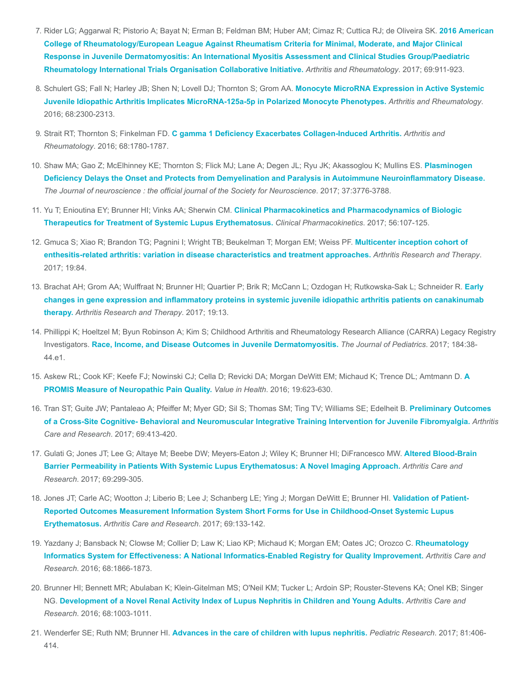- 7. [Rider LG; Aggarwal R; Pistorio A; Bayat N; Erman B; Feldman BM; Huber AM; Cimaz R; Cuttica RJ; de Oliveira SK.](https://www.ncbi.nlm.nih.gov/pubmed/28382778) 2016 American College of Rheumatology/European League Against Rheumatism Criteria for Minimal, Moderate, and Major Clinical Response in Juvenile Dermatomyositis: An International Myositis Assessment and Clinical Studies Group/Paediatric Rheumatology International Trials Organisation Collaborative Initiative. Arthritis and Rheumatology. 2017; 69:911-923.
- 8. Schulert GS; Fall N; Harley JB; Shen N; Lovell DJ; Thornton S; Grom AA. Monocyte MicroRNA Expression in Active Systemic [Juvenile Idiopathic Arthritis Implicates MicroRNA-125a-5p in Polarized Monocyte Phenotypes.](https://www.ncbi.nlm.nih.gov/pubmed/27014994) Arthritis and Rheumatology. 2016; 68:2300-2313.
- 9. Strait RT; Thornton S; Finkelman FD. [C gamma 1 Deficiency Exacerbates Collagen-Induced Arthritis.](https://www.ncbi.nlm.nih.gov/pubmed/26815845) Arthritis and Rheumatology. 2016; 68:1780-1787.
- 10. Shaw MA; Gao Z; McElhinney KE; Thornton S; Flick MJ; Lane A; Degen JL; Ryu JK; Akassoglou K; Mullins ES. Plasminogen [Deficiency Delays the Onset and Protects from Demyelination and Paralysis in Autoimmune Neuroinflammatory Disease.](https://www.ncbi.nlm.nih.gov/pubmed/28275164) The Journal of neuroscience : the official journal of the Society for Neuroscience. 2017; 37:3776-3788.
- 11. Yu T; Enioutina EY; Brunner HI; Vinks AA; Sherwin CM. Clinical Pharmacokinetics and Pharmacodynamics of Biologic [Therapeutics for Treatment of Systemic Lupus Erythematosus.](https://www.ncbi.nlm.nih.gov/pubmed/27384528) Clinical Pharmacokinetics. 2017; 56:107-125.
- 12. [Gmuca S; Xiao R; Brandon TG; Pagnini I; Wright TB; Beukelman T; Morgan EM; Weiss PF.](https://www.ncbi.nlm.nih.gov/pubmed/28464909) Multicenter inception cohort of enthesitis-related arthritis: variation in disease characteristics and treatment approaches. Arthritis Research and Therapy. 2017; 19:84.
- 13. [Brachat AH; Grom AA; Wulffraat N; Brunner HI; Quartier P; Brik R; McCann L; Ozdogan H; Rutkowska-Sak L; Schneider R.](https://www.ncbi.nlm.nih.gov/pubmed/28115015) Early changes in gene expression and inflammatory proteins in systemic juvenile idiopathic arthritis patients on canakinumab therapy. Arthritis Research and Therapy. 2017; 19:13.
- 14. Phillippi K; Hoeltzel M; Byun Robinson A; Kim S; Childhood Arthritis and Rheumatology Research Alliance (CARRA) Legacy Registry Investigators. [Race, Income, and Disease Outcomes in Juvenile Dermatomyositis.](https://www.ncbi.nlm.nih.gov/pubmed/28410093) The Journal of Pediatrics. 2017; 184:38-44.e1.
- 15. [Askew RL; Cook KF; Keefe FJ; Nowinski CJ; Cella D; Revicki DA; Morgan DeWitt EM; Michaud K; Trence DL; Amtmann D.](https://www.ncbi.nlm.nih.gov/pubmed/27565279) A PROMIS Measure of Neuropathic Pain Quality. Value in Health. 2016; 19:623-630.
- 16. Tran ST; Guite JW; Pantaleao A; Pfeiffer M; Myer GD; Sil S; Thomas SM; Ting TV; Williams SE; Edelheit B. Preliminary Outcomes [of a Cross-Site Cognitive- Behavioral and Neuromuscular Integrative Training Intervention for Juvenile Fibromyalgia.](https://www.ncbi.nlm.nih.gov/pubmed/27331358) Arthritis Care and Research. 2017; 69:413-420.
- 17. [Gulati G; Jones JT; Lee G; Altaye M; Beebe DW; Meyers-Eaton J; Wiley K; Brunner HI; DiFrancesco MW.](https://www.ncbi.nlm.nih.gov/pubmed/27110957) Altered Blood-Brain Barrier Permeability in Patients With Systemic Lupus Erythematosus: A Novel Imaging Approach. Arthritis Care and Research. 2017; 69:299-305.
- 18. Jones JT; Carle AC; Wootton J; Liberio B; Lee J; Schanberg LE; Ying J; Morgan DeWitt E; Brunner HI. Validation of Patient-[Reported Outcomes Measurement Information System Short Forms for Use in Childhood-Onset Systemic Lupus](https://www.ncbi.nlm.nih.gov/pubmed/27111350) Erythematosus. Arthritis Care and Research. 2017; 69:133-142.
- 19. [Yazdany J; Bansback N; Clowse M; Collier D; Law K; Liao KP; Michaud K; Morgan EM; Oates JC; Orozco C.](https://www.ncbi.nlm.nih.gov/pubmed/27696755) Rheumatology Informatics System for Effectiveness: A National Informatics-Enabled Registry for Quality Improvement. Arthritis Care and Research. 2016; 68:1866-1873.
- 20. Brunner HI; Bennett MR; Abulaban K; Klein-Gitelman MS; O'Neil KM; Tucker L; Ardoin SP; Rouster-Stevens KA; Onel KB; Singer NG. [Development of a Novel Renal Activity Index of Lupus Nephritis in Children and Young Adults.](https://www.ncbi.nlm.nih.gov/pubmed/26473509) Arthritis Care and Research. 2016; 68:1003-1011.
- 21. Wenderfer SE; Ruth NM; Brunner HI. [Advances in the care of children with lupus nephritis.](https://www.ncbi.nlm.nih.gov/pubmed/27855151) Pediatric Research. 2017; 81:406-414.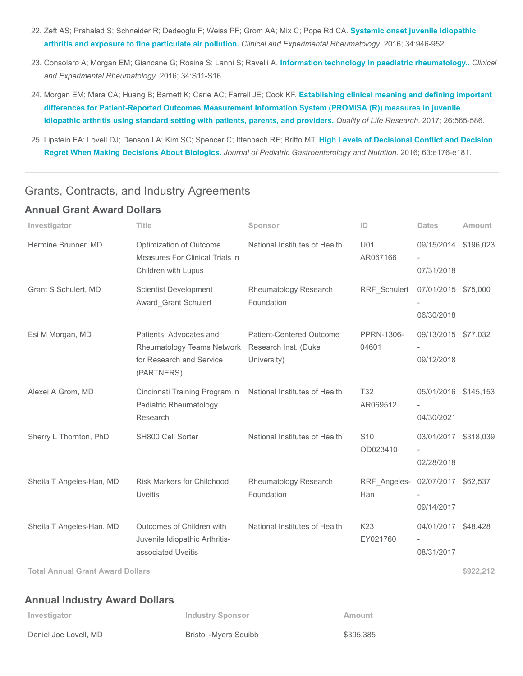- 22. [Zeft AS; Prahalad S; Schneider R; Dedeoglu F; Weiss PF; Grom AA; Mix C; Pope Rd CA.](https://www.ncbi.nlm.nih.gov/pubmed/27607024) Systemic onset juvenile idiopathic arthritis and exposure to fine particulate air pollution. Clinical and Experimental Rheumatology. 2016; 34:946-952.
- 23. Consolaro A; Morgan EM; Giancane G; Rosina S; Lanni S; Ravelli A. [Information technology in paediatric rheumatology..](https://www.ncbi.nlm.nih.gov/pubmed/27762188) Clinical and Experimental Rheumatology. 2016; 34:S11-S16.
- 24. Morgan EM; Mara CA; Huang B; Barnett K; Carle AC; Farrell JE; Cook KF. Establishing clinical meaning and defining important [differences for Patient-Reported Outcomes Measurement Information System \(PROMISA \(R\)\) measures in juvenile](https://www.ncbi.nlm.nih.gov/pubmed/27913986) idiopathic arthritis using standard setting with patients, parents, and providers. Quality of Life Research. 2017; 26:565-586.
- 25. [Lipstein EA; Lovell DJ; Denson LA; Kim SC; Spencer C; Ittenbach RF; Britto MT.](https://www.ncbi.nlm.nih.gov/pubmed/27749390) High Levels of Decisional Conflict and Decision Regret When Making Decisions About Biologics. Journal of Pediatric Gastroenterology and Nutrition. 2016; 63:e176-e181.

# Grants, Contracts, and Industry Agreements

# Annual Grant Award Dollars

| Investigator             | <b>Title</b>                                                                                                         | Sponsor                                        | ID                                      | <b>Dates</b>                       | Amount |
|--------------------------|----------------------------------------------------------------------------------------------------------------------|------------------------------------------------|-----------------------------------------|------------------------------------|--------|
| Hermine Brunner, MD      | Optimization of Outcome<br>Measures For Clinical Trials in<br>Children with Lupus                                    | National Institutes of Health                  | U01<br>AR067166                         | 09/15/2014 \$196,023<br>07/31/2018 |        |
| Grant S Schulert, MD     | <b>Scientist Development</b><br>Award Grant Schulert                                                                 | Rheumatology Research<br>Foundation            | RRF Schulert                            | 07/01/2015 \$75,000<br>06/30/2018  |        |
| Esi M Morgan, MD         | Patients, Advocates and<br>Rheumatology Teams Network Research Inst. (Duke<br>for Research and Service<br>(PARTNERS) | <b>Patient-Centered Outcome</b><br>University) | PPRN-1306-<br>04601                     | 09/13/2015 \$77,032<br>09/12/2018  |        |
| Alexei A Grom, MD        | Cincinnati Training Program in<br>Pediatric Rheumatology<br>Research                                                 | National Institutes of Health                  | T <sub>32</sub><br>AR069512             | 05/01/2016 \$145,153<br>04/30/2021 |        |
| Sherry L Thornton, PhD   | SH800 Cell Sorter                                                                                                    | National Institutes of Health                  | S <sub>10</sub><br>OD023410             | 03/01/2017 \$318,039<br>02/28/2018 |        |
| Sheila T Angeles-Han, MD | <b>Risk Markers for Childhood</b><br><b>Uveitis</b>                                                                  | Rheumatology Research<br>Foundation            | RRF_Angeles- 02/07/2017 \$62,537<br>Han | 09/14/2017                         |        |
| Sheila T Angeles-Han, MD | Outcomes of Children with<br>Juvenile Idiopathic Arthritis-<br>associated Uveitis                                    | National Institutes of Health                  | K23<br>EY021760                         | 04/01/2017 \$48,428<br>08/31/2017  |        |

Total Annual Grant Award Dollars \$922,212

# Annual Industry Award Dollars

| Investigator          | Industry Sponsor      | Amount    |
|-----------------------|-----------------------|-----------|
| Daniel Joe Lovell, MD | Bristol -Myers Squibb | \$395.385 |